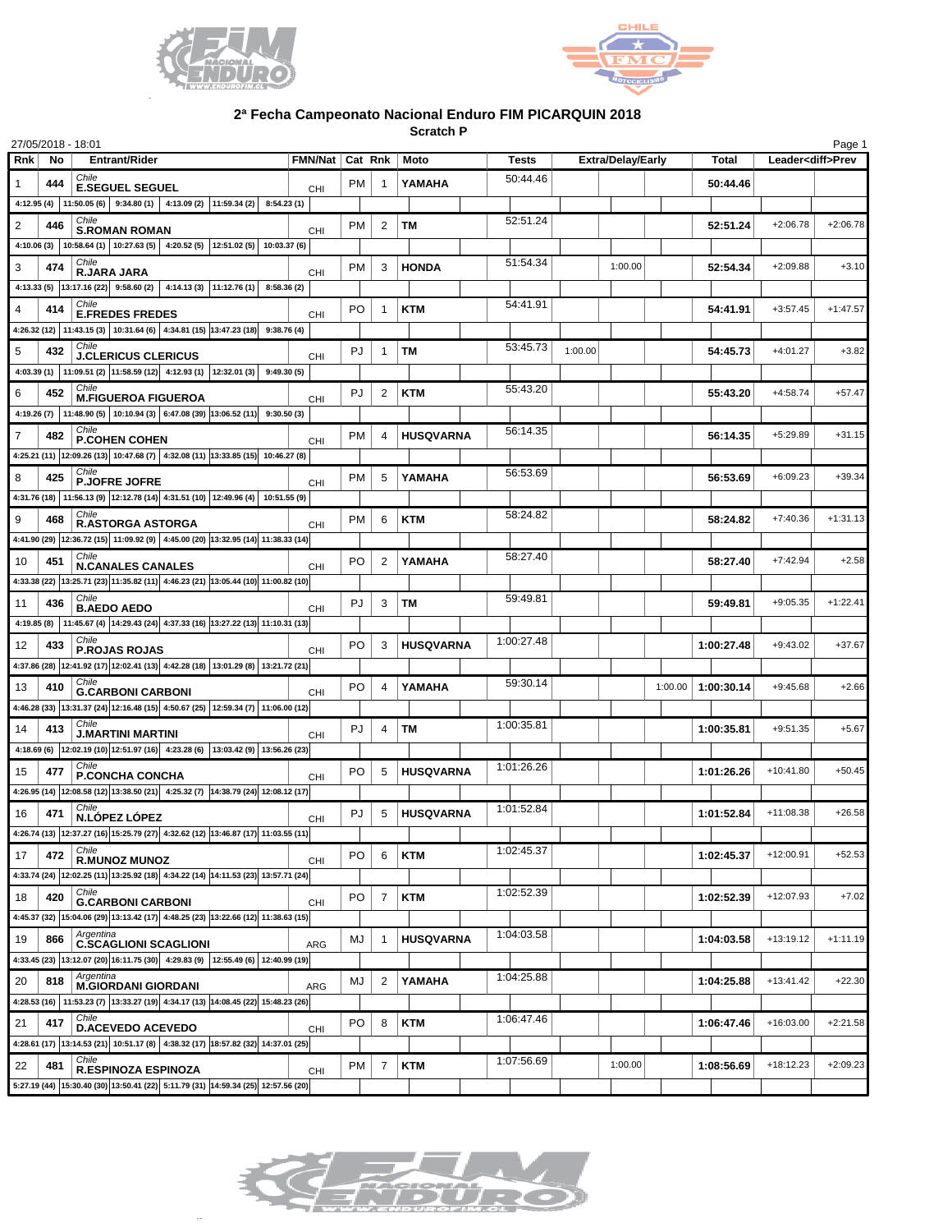



## **2ª Fecha Campeonato Nacional Enduro FIM PICARQUIN 2018**

**Scratch P**

|     | 27/05/2018 - 18:01                                                                              |                                                                                                                    |            |                   |                |                  |            |                          |              |            |                          | Page 1     |
|-----|-------------------------------------------------------------------------------------------------|--------------------------------------------------------------------------------------------------------------------|------------|-------------------|----------------|------------------|------------|--------------------------|--------------|------------|--------------------------|------------|
| Rnk | No                                                                                              | <b>Entrant/Rider</b>                                                                                               |            | FMN/Nat   Cat Rnk |                | Moto             | Tests      | <b>Extra/Delay/Early</b> | <b>Total</b> |            | Leader <diff>Prev</diff> |            |
| 1   | 444                                                                                             | Chile<br><b>E.SEGUEL SEGUEL</b>                                                                                    | CHI        | PM                | -1             | YAMAHA           | 50:44.46   |                          |              | 50:44.46   |                          |            |
|     |                                                                                                 | 4:13.09 (2)   11:59.34 (2)<br>4:12.95 (4)   11:50.05 (6)   9:34.80 (1)<br>8:54.23(1)                               |            |                   |                |                  |            |                          |              |            |                          |            |
| 2   | 446                                                                                             | Chile                                                                                                              |            | PM                | 2              | <b>TM</b>        | 52:51.24   |                          |              | 52:51.24   | $+2:06.78$               | $+2:06.78$ |
|     |                                                                                                 | <b>S.ROMAN ROMAN</b><br>4:10.06 (3)   10:58.64 (1)   10:27.63 (5)  <br>4:20.52 (5) 12:51.02 (5) 10:03.37 (6)       | CHI        |                   |                |                  |            |                          |              |            |                          |            |
| 3   | 474                                                                                             | Chile                                                                                                              |            | PM                | 3              | <b>HONDA</b>     | 51:54.34   | 1:00.00                  |              | 52:54.34   | $+2:09.88$               | $+3.10$    |
|     |                                                                                                 | R.JARA JARA                                                                                                        | CHI        |                   |                |                  |            |                          |              |            |                          |            |
|     | 4:13.33 (5) $ 13:17.16(22) $ 9:58.60 (2)<br>4:14.13 (3)   11:12.76 (1)  <br>8:58.36(2)<br>Chile |                                                                                                                    |            |                   |                |                  | 54:41.91   |                          |              |            |                          |            |
| 4   | 414                                                                                             | <b>E.FREDES FREDES</b>                                                                                             | CHI        | PO                | 1              | KTM              |            |                          |              | 54:41.91   | $+3:57.45$               | $+1:47.57$ |
|     |                                                                                                 | 4:26.32 (12)   11:43.15 (3)   10:31.64 (6)   4:34.81 (15)   13:47.23 (18)   9:38.76 (4)                            |            |                   |                |                  |            |                          |              |            |                          |            |
| 5   | 432                                                                                             | Chile<br><b>J.CLERICUS CLERICUS</b>                                                                                | <b>CHI</b> | PJ                | 1              | <b>TM</b>        | 53:45.73   | 1:00.00                  |              | 54:45.73   | $+4:01.27$               | $+3.82$    |
|     |                                                                                                 | 4:03.39 (1) 11:09.51 (2) 11:58.59 (12) 4:12.93 (1) 12:32.01 (3)<br>9:49.30(5)                                      |            |                   |                |                  |            |                          |              |            |                          |            |
| 6   | 452                                                                                             | Chile<br><b>M.FIGUEROA FIGUEROA</b>                                                                                | CHI        | PJ                | 2              | KTM              | 55:43.20   |                          |              | 55:43.20   | $+4:58.74$               | $+57.47$   |
|     |                                                                                                 | 4:19.26 (7) 11:48.90 (5) 10:10.94 (3) 6:47.08 (39) 13:06.52 (11) 9:30.50 (3)                                       |            |                   |                |                  |            |                          |              |            |                          |            |
| 7   | 482                                                                                             | Chile<br>P.COHEN COHEN                                                                                             | CHI        | PM                | 4              | <b>HUSQVARNA</b> | 56:14.35   |                          |              | 56:14.35   | $+5:29.89$               | $+31.15$   |
|     |                                                                                                 | 4:25.21 (11) 12:09.26 (13) 10:47.68 (7) 4:32.08 (11) 13:33.85 (15) 10:46.27 (8)                                    |            |                   |                |                  |            |                          |              |            |                          |            |
| 8   | 425                                                                                             | Chile                                                                                                              |            | <b>PM</b>         | 5              | YAMAHA           | 56:53.69   |                          |              | 56:53.69   | $+6:09.23$               | $+39.34$   |
|     |                                                                                                 | P.JOFRE JOFRE<br>4:31.76 (18)   11:56.13 (9)  12:12.78 (14)   4:31.51 (10)   12:49.96 (4)   10:51.55 (9)           | CHI        |                   |                |                  |            |                          |              |            |                          |            |
| 9   | 468                                                                                             | Chile                                                                                                              |            | PM                | 6              | <b>KTM</b>       | 58:24.82   |                          |              | 58:24.82   | $+7:40.36$               | $+1:31.13$ |
|     |                                                                                                 | <b>R.ASTORGA ASTORGA</b><br>4:41.90 (29) 12:36.72 (15) 11:09.92 (9) 4:45.00 (20) 13:32.95 (14) 11:38.33 (14)       | CHI        |                   |                |                  |            |                          |              |            |                          |            |
|     |                                                                                                 | Chile                                                                                                              |            |                   |                |                  | 58:27.40   |                          |              |            |                          |            |
| 10  | 451                                                                                             | <b>N.CANALES CANALES</b>                                                                                           | CHI        | PO                | 2              | YAMAHA           |            |                          |              | 58:27.40   | $+7:42.94$               | $+2.58$    |
|     |                                                                                                 | 4:33.38 (22) 13:25.71 (23) 11:35.82 (11) 4:46.23 (21) 13:05.44 (10) 11:00.82 (10)                                  |            |                   |                |                  |            |                          |              |            |                          |            |
| 11  | 436                                                                                             | Chile<br><b>B.AEDO AEDO</b>                                                                                        | CHI        | PJ                | 3              | TМ               | 59:49.81   |                          |              | 59:49.81   | $+9:05.35$               | $+1:22.41$ |
|     |                                                                                                 | 4:19.85 (8) 11:45.67 (4) 14:29.43 (24) 4:37.33 (16) 13:27.22 (13) 11:10.31 (13)                                    |            |                   |                |                  |            |                          |              |            |                          |            |
| 12  | 433                                                                                             | Chile<br>P.ROJAS ROJAS                                                                                             | CHI        | PO                | 3              | <b>HUSQVARNA</b> | 1:00:27.48 |                          |              | 1:00:27.48 | $+9:43.02$               | $+37.67$   |
|     |                                                                                                 | 4:37.86 (28) 12:41.92 (17) 12:02.41 (13) 4:42.28 (18) 13:01.29 (8) 13:21.72 (21)                                   |            |                   |                |                  |            |                          |              |            |                          |            |
| 13  | 410                                                                                             | Chile<br><b>G.CARBONI CARBONI</b>                                                                                  | CHI        | PO                | 4              | YAMAHA           | 59:30.14   |                          | 1:00.00      | 1:00:30.14 | $+9:45.68$               | $+2.66$    |
|     |                                                                                                 | 4:46.28 (33)  13:31.37 (24)  12:16.48 (15)   4:50.67 (25)   12:59.34 (7)   11:06.00 (12)                           |            |                   |                |                  |            |                          |              |            |                          |            |
| 14  | 413                                                                                             | Chile<br><b>J.MARTINI MARTINI</b>                                                                                  | CHI        | PJ                | 4              | <b>TM</b>        | 1:00:35.81 |                          |              | 1:00:35.81 | $+9:51.35$               | $+5.67$    |
|     |                                                                                                 | 4:18.69 (6) 12:02.19 (10) 12:51.97 (16) 4:23.28 (6) 13:03.42 (9) 13:56.26 (23)                                     |            |                   |                |                  |            |                          |              |            |                          |            |
| 15  | 477                                                                                             | Chile                                                                                                              |            | PO                | 5              | <b>HUSQVARNA</b> | 1:01:26.26 |                          |              | 1:01:26.26 | $+10:41.80$              | $+50.45$   |
|     |                                                                                                 | P.CONCHA CONCHA<br>4:26.95 (14) 12:08.58 (12) 13:38.50 (21) 4:25.32 (7) 14:38.79 (24) 12:08.12 (17)                | CHI        |                   |                |                  |            |                          |              |            |                          |            |
| 16  |                                                                                                 | Chile.                                                                                                             |            | PJ                | 5              | <b>HUSQVARNA</b> | 1:01:52.84 |                          |              | 1:01:52.84 | $+11:08.38$              | $+26.58$   |
|     | 471                                                                                             | N.LÓPEZ LÓPEZ<br>4:26.74 (13) 12:37.27 (16) 15:25.79 (27) 4:32.62 (12) 13:46.87 (17) 11:03.55 (11)                 | <b>CHI</b> |                   |                |                  |            |                          |              |            |                          |            |
|     |                                                                                                 | Chile                                                                                                              |            |                   |                |                  | 1:02:45.37 |                          |              |            |                          |            |
| 17  | 472                                                                                             | <b>R.MUNOZ MUNOZ</b>                                                                                               | <b>CHI</b> | PO                | 6              | <b>KTM</b>       |            |                          |              | 1:02:45.37 | +12:00.91                | $+52.53$   |
|     |                                                                                                 | 4:33.74 (24) 12:02.25 (11) 13:25.92 (18) 4:34.22 (14) 14:11.53 (23) 13:57.71 (24)                                  |            |                   |                |                  |            |                          |              |            |                          |            |
| 18  | 420                                                                                             | Chile<br><b>G.CARBONI CARBONI</b>                                                                                  | CHI        | PO                | 7              | KTM              | 1:02:52.39 |                          |              | 1:02:52.39 | +12:07.93                | $+7.02$    |
|     |                                                                                                 | 4:45.37 (32) 15:04.06 (29) 13:13.42 (17) 4:48.25 (23) 13:22.66 (12) 11:38.63 (15)                                  |            |                   |                |                  |            |                          |              |            |                          |            |
| 19  | 866                                                                                             | Argentina<br><b>C.SCAGLIONI SCAGLIONI</b>                                                                          | ARG        | MJ                | 1              | <b>HUSQVARNA</b> | 1:04:03.58 |                          |              | 1:04:03.58 | $+13:19.12$              | $+1:11.19$ |
|     |                                                                                                 | 4:33.45 (23) 13:12.07 (20) 16:11.75 (30) 4:29.83 (9) 12:55.49 (6) 12:40.99 (19)                                    |            |                   |                |                  |            |                          |              |            |                          |            |
| 20  | 818                                                                                             | Argentina<br><b>M.GIORDANI GIORDANI</b>                                                                            | ARG        | MJ                | $\overline{2}$ | YAMAHA           | 1:04:25.88 |                          |              | 1:04:25.88 | $+13:41.42$              | $+22.30$   |
|     |                                                                                                 | 4:28.53 (16) 11:53.23 (7) 13:33.27 (19) 4:34.17 (13) 14:08.45 (22) 15:48.23 (26)                                   |            |                   |                |                  |            |                          |              |            |                          |            |
| 21  | 417                                                                                             | Chile                                                                                                              |            | PO                | 8              | <b>KTM</b>       | 1:06:47.46 |                          |              | 1:06:47.46 | $+16:03.00$              | $+2:21.58$ |
|     |                                                                                                 | <b>D.ACEVEDO ACEVEDO</b><br>4:28.61 (17)  13:14.53 (21)  10:51.17 (8)   4:38.32 (17)  18:57.82 (32)  14:37.01 (25) | CHI        |                   |                |                  |            |                          |              |            |                          |            |
| 22  | 481                                                                                             | Chile                                                                                                              |            | PM                | 7              | KTM              | 1:07:56.69 | 1:00.00                  |              | 1:08:56.69 | $+18:12.23$              | $+2:09.23$ |
|     |                                                                                                 | R.ESPINOZA ESPINOZA<br>5:27.19 (44) 15:30.40 (30) 13:50.41 (22) 5:11.79 (31) 14:59.34 (25) 12:57.56 (20)           | CHI        |                   |                |                  |            |                          |              |            |                          |            |
|     |                                                                                                 |                                                                                                                    |            |                   |                |                  |            |                          |              |            |                          |            |

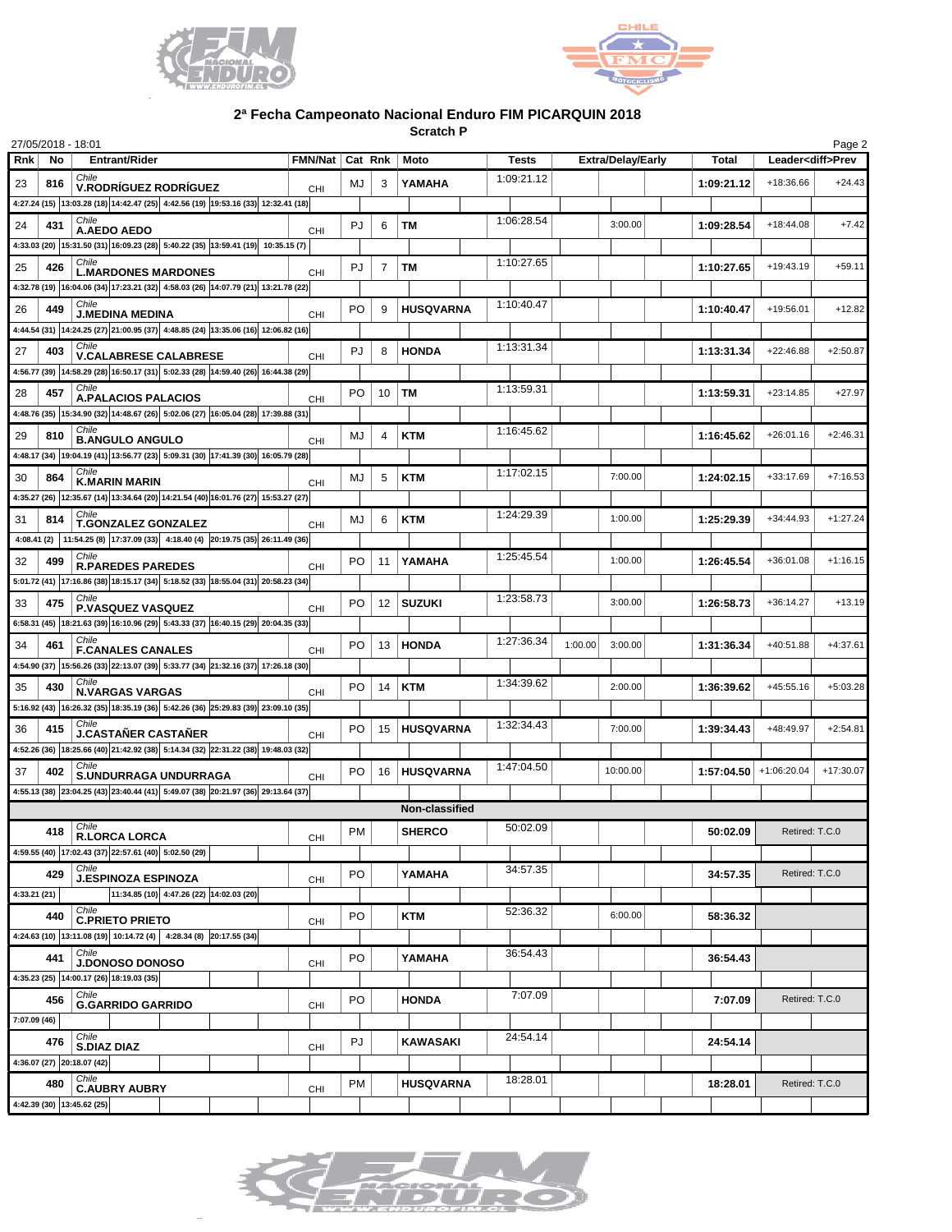



## **2ª Fecha Campeonato Nacional Enduro FIM PICARQUIN 2018**

**Scratch P**

| Page 2<br>27/05/2018 - 18:01 |     |                                                                                                               |            |           |         |                  |            |                          |                          |                |                          |
|------------------------------|-----|---------------------------------------------------------------------------------------------------------------|------------|-----------|---------|------------------|------------|--------------------------|--------------------------|----------------|--------------------------|
| Rnk                          | No  | Entrant/Rider                                                                                                 | FMN/Nat    |           | Cat Rnk | Moto             | Tests      | <b>Extra/Delay/Early</b> | <b>Total</b>             |                | Leader <diff>Prev</diff> |
| 23                           | 816 | Chile<br><b>V.RODRÍGUEZ RODRÍGUEZ</b>                                                                         | CHI        | MJ        | 3       | YAMAHA           | 1:09:21.12 |                          | 1:09:21.12               | +18:36.66      | $+24.43$                 |
|                              |     | 4:27.24 (15) 13:03.28 (18) 14:42.47 (25) 4:42.56 (19) 19:53.16 (33) 12:32.41 (18)                             |            |           |         |                  |            |                          |                          |                |                          |
| 24                           | 431 | Chile<br>A.AEDO AEDO                                                                                          |            | PJ        | 6       | <b>TM</b>        | 1:06:28.54 | 3:00.00                  | 1:09:28.54               | $+18:44.08$    | $+7.42$                  |
|                              |     | 4:33.03 (20) 15:31.50 (31) 16:09.23 (28) 5:40.22 (35) 13:59.41 (19) 10:35.15 (7)                              | CHI        |           |         |                  |            |                          |                          |                |                          |
| 25                           | 426 | Chile                                                                                                         |            | PJ        | 7       | <b>TM</b>        | 1:10:27.65 |                          | 1:10:27.65               | $+19:43.19$    | $+59.11$                 |
|                              |     | <b>L.MARDONES MARDONES</b>                                                                                    | CHI        |           |         |                  |            |                          |                          |                |                          |
|                              |     | 4:32.78 (19) 16:04.06 (34) 17:23.21 (32) 4:58.03 (26) 14:07.79 (21) 13:21.78 (22)<br>Chile                    |            |           |         |                  | 1:10:40.47 |                          |                          |                |                          |
| 26                           | 449 | <b>J.MEDINA MEDINA</b>                                                                                        | CHI        | PO        | 9       | <b>HUSQVARNA</b> |            |                          | 1:10:40.47               | +19:56.01      | $+12.82$                 |
|                              |     | 4:44.54 (31) 14:24.25 (27) 21:00.95 (37) 4:48.85 (24) 13:35.06 (16) 12:06.82 (16)                             |            |           |         |                  |            |                          |                          |                |                          |
| 27                           | 403 | Chile<br><b>V.CALABRESE CALABRESE</b>                                                                         | CHI        | PJ        | 8       | <b>HONDA</b>     | 1:13:31.34 |                          | 1:13:31.34               | $+22:46.88$    | $+2:50.87$               |
|                              |     | 4:56.77 (39)   14:58.29 (28)   16:50.17 (31)   5:02.33 (28)   14:59.40 (26)   16:44.38 (29)                   |            |           |         |                  |            |                          |                          |                |                          |
| 28                           | 457 | Chile<br><b>A.PALACIOS PALACIOS</b>                                                                           | CHI        | PO        | 10      | <b>TM</b>        | 1:13:59.31 |                          | 1:13:59.31               | $+23:14.85$    | $+27.97$                 |
|                              |     | 4:48.76 (35) 15:34.90 (32) 14:48.67 (26) 5:02.06 (27) 16:05.04 (28) 17:39.88 (31)                             |            |           |         |                  |            |                          |                          |                |                          |
| 29                           | 810 | Chile                                                                                                         |            | MJ        | 4       | <b>KTM</b>       | 1:16:45.62 |                          | 1:16:45.62               | $+26:01.16$    | $+2:46.31$               |
|                              |     | <b>B.ANGULO ANGULO</b><br>4:48.17 (34) 19:04.19 (41) 13:56.77 (23) 5:09.31 (30) 17:41.39 (30) 16:05.79 (28)   | CHI        |           |         |                  |            |                          |                          |                |                          |
| 30                           | 864 | Chile                                                                                                         |            | MJ        | 5       | <b>KTM</b>       | 1:17:02.15 | 7:00.00                  | 1:24:02.15               | +33:17.69      | $+7:16.53$               |
|                              |     | <b>K.MARIN MARIN</b>                                                                                          | CHI        |           |         |                  |            |                          |                          |                |                          |
|                              |     | 4:35.27 (26) 12:35.67 (14) 13:34.64 (20) 14:21.54 (40) 16:01.76 (27) 15:53.27 (27)                            |            |           |         |                  | 1:24:29.39 |                          |                          |                |                          |
| 31                           | 814 | Chile<br>T.GONZALEZ GONZALEZ                                                                                  | CHI        | MJ        | 6       | <b>KTM</b>       |            | 1:00.00                  | 1:25:29.39               | $+34:44.93$    | $+1:27.24$               |
|                              |     | 4:08.41 (2) 11:54.25 (8) 17:37.09 (33) 4:18.40 (4) 20:19.75 (35) 26:11.49 (36)                                |            |           |         |                  |            |                          |                          |                |                          |
| 32                           | 499 | Chile<br><b>R.PAREDES PAREDES</b>                                                                             | CHI        | PO        | 11      | YAMAHA           | 1:25:45.54 | 1:00.00                  | 1:26:45.54               | +36:01.08      | $+1:16.15$               |
|                              |     | 5:01.72 (41) 17:16.86 (38) 18:15.17 (34) 5:18.52 (33) 18:55.04 (31) 20:58.23 (34)                             |            |           |         |                  |            |                          |                          |                |                          |
| 33                           | 475 | P.VASQUEZ VASQUEZ                                                                                             | CHI        | PO        |         | 12   SUZUKI      | 1:23:58.73 | 3:00.00                  | 1:26:58.73               | +36:14.27      | $+13.19$                 |
|                              |     | 6:58.31 (45) 18:21.63 (39) 16:10.96 (29) 5:43.33 (37) 16:40.15 (29) 20:04.35 (33)                             |            |           |         |                  |            |                          |                          |                |                          |
| 34                           | 461 | Chile                                                                                                         |            | PO        |         | 13 HONDA         | 1:27:36.34 | 1:00.00<br>3:00.00       | 1:31:36.34               | +40:51.88      | $+4:37.61$               |
|                              |     | <b>F.CANALES CANALES</b><br>4:54.90 (37) 15:56.26 (33) 22:13.07 (39) 5:33.77 (34) 21:32.16 (37) 17:26.18 (30) | CHI        |           |         |                  |            |                          |                          |                |                          |
| 35                           | 430 | Chile                                                                                                         |            | PO        | 14      | <b>KTM</b>       | 1:34:39.62 | 2:00.00                  | 1:36:39.62               | $+45:55.16$    | $+5:03.28$               |
|                              |     | <b>N.VARGAS VARGAS</b>                                                                                        | CHI        |           |         |                  |            |                          |                          |                |                          |
|                              |     | 5:16.92 (43) 16:26.32 (35) 18:35.19 (36) 5:42.26 (36) 25:29.83 (39) 23:09.10 (35)<br>Chile                    |            |           |         |                  | 1:32:34.43 |                          |                          |                |                          |
| 36                           | 415 | <b>J.CASTAÑER CASTAÑER</b>                                                                                    | CHI        | PO        |         | 15   HUSQVARNA   |            | 7:00.00                  | 1:39:34.43               | +48:49.97      | $+2:54.81$               |
|                              |     | 4:52.26 (36) 18:25.66 (40) 21:42.92 (38) 5:14.34 (32) 22:31.22 (38) 19:48.03 (32)                             |            |           |         |                  |            |                          |                          |                |                          |
| 37                           | 402 | S.UNDURRAGA UNDURRAGA                                                                                         | CHI        | PO        | 16      | <b>HUSQVARNA</b> | 1:47:04.50 | 10:00.00                 | $1:57:04.50$ +1:06:20.04 |                | $+17:30.07$              |
|                              |     | 4:55.13 (38) 23:04.25 (43) 23:40.44 (41) 5:49.07 (38) 20:21.97 (36) 29:13.64 (37)                             |            |           |         |                  |            |                          |                          |                |                          |
|                              |     |                                                                                                               |            |           |         | Non-classified   |            |                          |                          |                |                          |
|                              | 418 | Chile<br><b>R.LORCA LORCA</b>                                                                                 | CHI        | <b>PM</b> |         | <b>SHERCO</b>    | 50:02.09   |                          | 50:02.09                 | Retired: T.C.0 |                          |
|                              |     | 4:59.55 (40) 17:02.43 (37) 22:57.61 (40) 5:02.50 (29)                                                         |            |           |         |                  |            |                          |                          |                |                          |
|                              | 429 | Chile<br><b>J.ESPINOZA ESPINOZA</b>                                                                           |            | PO        |         | YAMAHA           | 34:57.35   |                          | 34:57.35                 | Retired: T.C.0 |                          |
| 4:33.21(21)                  |     | 11:34.85 (10) 4:47.26 (22) 14:02.03 (20)                                                                      | <b>CHI</b> |           |         |                  |            |                          |                          |                |                          |
|                              | 440 | Chile                                                                                                         |            | PO        |         | KTM              | 52:36.32   | 6:00.00                  | 58:36.32                 |                |                          |
|                              |     | <b>C.PRIETO PRIETO</b><br>4:24.63 (10) $ 13:11.08$ (19) 10:14.72 (4) 4:28.34 (8) 20:17.55 (34)                | CHI        |           |         |                  |            |                          |                          |                |                          |
|                              |     | Chile                                                                                                         |            |           |         |                  | 36:54.43   |                          |                          |                |                          |
|                              | 441 | <b>J.DONOSO DONOSO</b>                                                                                        | CHI        | PO        |         | YAMAHA           |            |                          | 36:54.43                 |                |                          |
|                              |     | 4:35.23 (25) 14:00.17 (26) 18:19.03 (35)                                                                      |            |           |         |                  |            |                          |                          |                |                          |
|                              | 456 | Chile<br><b>G.GARRIDO GARRIDO</b>                                                                             | CHI        | PO        |         | <b>HONDA</b>     | 7:07.09    |                          | 7:07.09                  | Retired: T.C.0 |                          |
| 7:07.09 (46)                 |     |                                                                                                               |            |           |         |                  |            |                          |                          |                |                          |
|                              | 476 | Chile<br><b>S.DIAZ DIAZ</b>                                                                                   | <b>CHI</b> | PJ        |         | <b>KAWASAKI</b>  | 24:54.14   |                          | 24:54.14                 |                |                          |
|                              |     | 4:36.07 (27) 20:18.07 (42)                                                                                    |            |           |         |                  |            |                          |                          |                |                          |
|                              | 480 | Chile<br><b>C.AUBRY AUBRY</b>                                                                                 |            | PM        |         | <b>HUSQVARNA</b> | 18:28.01   |                          | 18:28.01                 | Retired: T.C.0 |                          |
|                              |     | 4:42.39 (30) 13:45.62 (25)                                                                                    | CHI        |           |         |                  |            |                          |                          |                |                          |